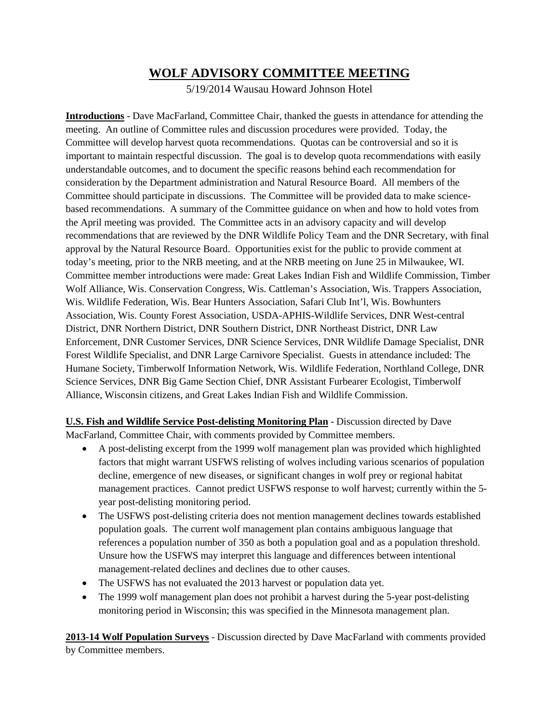# **WOLF ADVISORY COMMITTEE MEETING**

5/19/2014 Wausau Howard Johnson Hotel

**Introductions** - Dave MacFarland, Committee Chair, thanked the guests in attendance for attending the meeting. An outline of Committee rules and discussion procedures were provided. Today, the Committee will develop harvest quota recommendations. Quotas can be controversial and so it is important to maintain respectful discussion. The goal is to develop quota recommendations with easily understandable outcomes, and to document the specific reasons behind each recommendation for consideration by the Department administration and Natural Resource Board. All members of the Committee should participate in discussions. The Committee will be provided data to make sciencebased recommendations. A summary of the Committee guidance on when and how to hold votes from the April meeting was provided. The Committee acts in an advisory capacity and will develop recommendations that are reviewed by the DNR Wildlife Policy Team and the DNR Secretary, with final approval by the Natural Resource Board. Opportunities exist for the public to provide comment at today's meeting, prior to the NRB meeting, and at the NRB meeting on June 25 in Milwaukee, WI. Committee member introductions were made: Great Lakes Indian Fish and Wildlife Commission, Timber Wolf Alliance, Wis. Conservation Congress, Wis. Cattleman's Association, Wis. Trappers Association, Wis. Wildlife Federation, Wis. Bear Hunters Association, Safari Club Int'l, Wis. Bowhunters Association, Wis. County Forest Association, USDA-APHIS-Wildlife Services, DNR West-central District, DNR Northern District, DNR Southern District, DNR Northeast District, DNR Law Enforcement, DNR Customer Services, DNR Science Services, DNR Wildlife Damage Specialist, DNR Forest Wildlife Specialist, and DNR Large Carnivore Specialist. Guests in attendance included: The Humane Society, Timberwolf Information Network, Wis. Wildlife Federation, Northland College, DNR Science Services, DNR Big Game Section Chief, DNR Assistant Furbearer Ecologist, Timberwolf Alliance, Wisconsin citizens, and Great Lakes Indian Fish and Wildlife Commission.

**U.S. Fish and Wildlife Service Post-delisting Monitoring Plan** - Discussion directed by Dave MacFarland, Committee Chair, with comments provided by Committee members.

- A post-delisting excerpt from the 1999 wolf management plan was provided which highlighted factors that might warrant USFWS relisting of wolves including various scenarios of population decline, emergence of new diseases, or significant changes in wolf prey or regional habitat management practices. Cannot predict USFWS response to wolf harvest; currently within the 5 year post-delisting monitoring period.
- The USFWS post-delisting criteria does not mention management declines towards established population goals. The current wolf management plan contains ambiguous language that references a population number of 350 as both a population goal and as a population threshold. Unsure how the USFWS may interpret this language and differences between intentional management-related declines and declines due to other causes.
- The USFWS has not evaluated the 2013 harvest or population data yet.
- The 1999 wolf management plan does not prohibit a harvest during the 5-year post-delisting monitoring period in Wisconsin; this was specified in the Minnesota management plan.

**2013-14 Wolf Population Surveys** - Discussion directed by Dave MacFarland with comments provided by Committee members.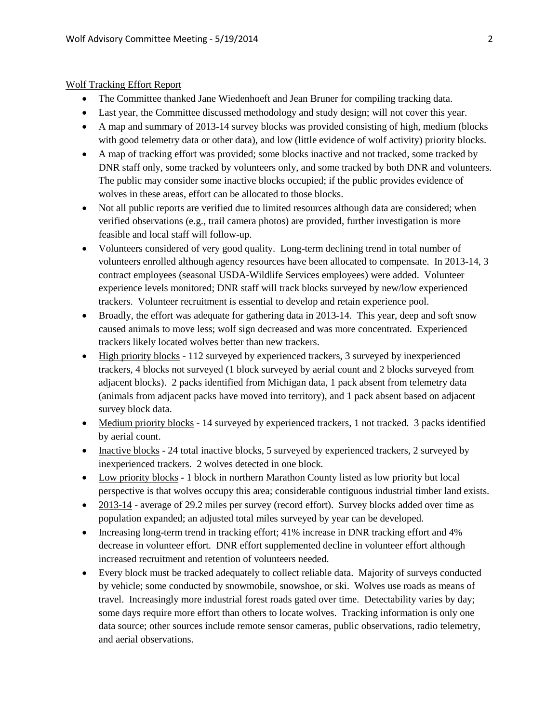## Wolf Tracking Effort Report

- The Committee thanked Jane Wiedenhoeft and Jean Bruner for compiling tracking data.
- Last year, the Committee discussed methodology and study design; will not cover this year.
- A map and summary of 2013-14 survey blocks was provided consisting of high, medium (blocks with good telemetry data or other data), and low (little evidence of wolf activity) priority blocks.
- A map of tracking effort was provided; some blocks inactive and not tracked, some tracked by DNR staff only, some tracked by volunteers only, and some tracked by both DNR and volunteers. The public may consider some inactive blocks occupied; if the public provides evidence of wolves in these areas, effort can be allocated to those blocks.
- Not all public reports are verified due to limited resources although data are considered; when verified observations (e.g., trail camera photos) are provided, further investigation is more feasible and local staff will follow-up.
- Volunteers considered of very good quality. Long-term declining trend in total number of volunteers enrolled although agency resources have been allocated to compensate. In 2013-14, 3 contract employees (seasonal USDA-Wildlife Services employees) were added. Volunteer experience levels monitored; DNR staff will track blocks surveyed by new/low experienced trackers. Volunteer recruitment is essential to develop and retain experience pool.
- Broadly, the effort was adequate for gathering data in 2013-14. This year, deep and soft snow caused animals to move less; wolf sign decreased and was more concentrated. Experienced trackers likely located wolves better than new trackers.
- High priority blocks 112 surveyed by experienced trackers, 3 surveyed by inexperienced trackers, 4 blocks not surveyed (1 block surveyed by aerial count and 2 blocks surveyed from adjacent blocks). 2 packs identified from Michigan data, 1 pack absent from telemetry data (animals from adjacent packs have moved into territory), and 1 pack absent based on adjacent survey block data.
- Medium priority blocks 14 surveyed by experienced trackers, 1 not tracked. 3 packs identified by aerial count.
- Inactive blocks 24 total inactive blocks, 5 surveyed by experienced trackers, 2 surveyed by inexperienced trackers. 2 wolves detected in one block.
- Low priority blocks 1 block in northern Marathon County listed as low priority but local perspective is that wolves occupy this area; considerable contiguous industrial timber land exists.
- 2013-14 average of 29.2 miles per survey (record effort). Survey blocks added over time as population expanded; an adjusted total miles surveyed by year can be developed.
- Increasing long-term trend in tracking effort; 41% increase in DNR tracking effort and 4% decrease in volunteer effort. DNR effort supplemented decline in volunteer effort although increased recruitment and retention of volunteers needed.
- Every block must be tracked adequately to collect reliable data. Majority of surveys conducted by vehicle; some conducted by snowmobile, snowshoe, or ski. Wolves use roads as means of travel. Increasingly more industrial forest roads gated over time. Detectability varies by day; some days require more effort than others to locate wolves. Tracking information is only one data source; other sources include remote sensor cameras, public observations, radio telemetry, and aerial observations.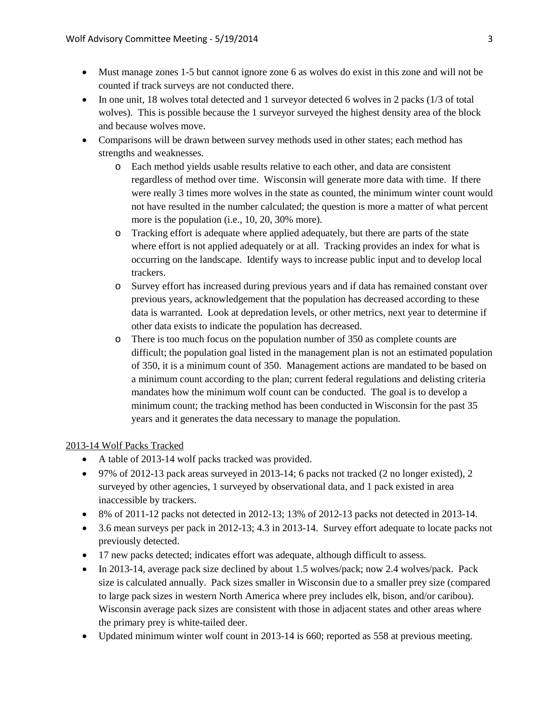- Must manage zones 1-5 but cannot ignore zone 6 as wolves do exist in this zone and will not be counted if track surveys are not conducted there.
- In one unit, 18 wolves total detected and 1 surveyor detected 6 wolves in 2 packs (1/3 of total wolves). This is possible because the 1 surveyor surveyed the highest density area of the block and because wolves move.
- Comparisons will be drawn between survey methods used in other states; each method has strengths and weaknesses.
	- o Each method yields usable results relative to each other, and data are consistent regardless of method over time. Wisconsin will generate more data with time. If there were really 3 times more wolves in the state as counted, the minimum winter count would not have resulted in the number calculated; the question is more a matter of what percent more is the population (i.e., 10, 20, 30% more).
	- o Tracking effort is adequate where applied adequately, but there are parts of the state where effort is not applied adequately or at all. Tracking provides an index for what is occurring on the landscape. Identify ways to increase public input and to develop local trackers.
	- o Survey effort has increased during previous years and if data has remained constant over previous years, acknowledgement that the population has decreased according to these data is warranted. Look at depredation levels, or other metrics, next year to determine if other data exists to indicate the population has decreased.
	- o There is too much focus on the population number of 350 as complete counts are difficult; the population goal listed in the management plan is not an estimated population of 350, it is a minimum count of 350. Management actions are mandated to be based on a minimum count according to the plan; current federal regulations and delisting criteria mandates how the minimum wolf count can be conducted. The goal is to develop a minimum count; the tracking method has been conducted in Wisconsin for the past 35 years and it generates the data necessary to manage the population.

#### 2013-14 Wolf Packs Tracked

- A table of 2013-14 wolf packs tracked was provided.
- 97% of 2012-13 pack areas surveyed in 2013-14; 6 packs not tracked (2 no longer existed), 2 surveyed by other agencies, 1 surveyed by observational data, and 1 pack existed in area inaccessible by trackers.
- 8% of 2011-12 packs not detected in 2012-13; 13% of 2012-13 packs not detected in 2013-14.
- 3.6 mean surveys per pack in 2012-13; 4.3 in 2013-14. Survey effort adequate to locate packs not previously detected.
- 17 new packs detected; indicates effort was adequate, although difficult to assess.
- In 2013-14, average pack size declined by about 1.5 wolves/pack; now 2.4 wolves/pack. Pack size is calculated annually. Pack sizes smaller in Wisconsin due to a smaller prey size (compared to large pack sizes in western North America where prey includes elk, bison, and/or caribou). Wisconsin average pack sizes are consistent with those in adjacent states and other areas where the primary prey is white-tailed deer.
- Updated minimum winter wolf count in 2013-14 is 660; reported as 558 at previous meeting.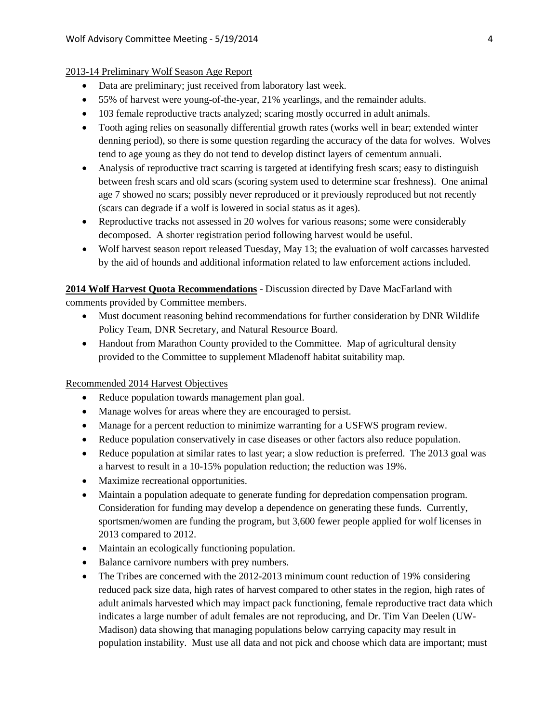#### 2013-14 Preliminary Wolf Season Age Report

- Data are preliminary; just received from laboratory last week.
- 55% of harvest were young-of-the-year, 21% yearlings, and the remainder adults.
- 103 female reproductive tracts analyzed; scaring mostly occurred in adult animals.
- Tooth aging relies on seasonally differential growth rates (works well in bear; extended winter denning period), so there is some question regarding the accuracy of the data for wolves. Wolves tend to age young as they do not tend to develop distinct layers of cementum annuali.
- Analysis of reproductive tract scarring is targeted at identifying fresh scars; easy to distinguish between fresh scars and old scars (scoring system used to determine scar freshness). One animal age 7 showed no scars; possibly never reproduced or it previously reproduced but not recently (scars can degrade if a wolf is lowered in social status as it ages).
- Reproductive tracks not assessed in 20 wolves for various reasons; some were considerably decomposed. A shorter registration period following harvest would be useful.
- Wolf harvest season report released Tuesday, May 13; the evaluation of wolf carcasses harvested by the aid of hounds and additional information related to law enforcement actions included.

**2014 Wolf Harvest Quota Recommendations** - Discussion directed by Dave MacFarland with comments provided by Committee members.

- Must document reasoning behind recommendations for further consideration by DNR Wildlife Policy Team, DNR Secretary, and Natural Resource Board.
- Handout from Marathon County provided to the Committee. Map of agricultural density provided to the Committee to supplement Mladenoff habitat suitability map.

Recommended 2014 Harvest Objectives

- Reduce population towards management plan goal.
- Manage wolves for areas where they are encouraged to persist.
- Manage for a percent reduction to minimize warranting for a USFWS program review.
- Reduce population conservatively in case diseases or other factors also reduce population.
- Reduce population at similar rates to last year; a slow reduction is preferred. The 2013 goal was a harvest to result in a 10-15% population reduction; the reduction was 19%.
- Maximize recreational opportunities.
- Maintain a population adequate to generate funding for depredation compensation program. Consideration for funding may develop a dependence on generating these funds. Currently, sportsmen/women are funding the program, but 3,600 fewer people applied for wolf licenses in 2013 compared to 2012.
- Maintain an ecologically functioning population.
- Balance carnivore numbers with prey numbers.
- The Tribes are concerned with the 2012-2013 minimum count reduction of 19% considering reduced pack size data, high rates of harvest compared to other states in the region, high rates of adult animals harvested which may impact pack functioning, female reproductive tract data which indicates a large number of adult females are not reproducing, and Dr. Tim Van Deelen (UW-Madison) data showing that managing populations below carrying capacity may result in population instability. Must use all data and not pick and choose which data are important; must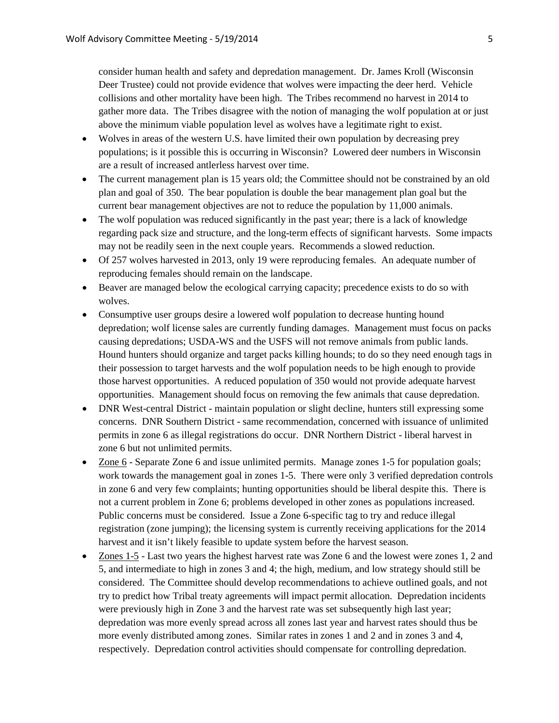consider human health and safety and depredation management. Dr. James Kroll (Wisconsin Deer Trustee) could not provide evidence that wolves were impacting the deer herd. Vehicle collisions and other mortality have been high. The Tribes recommend no harvest in 2014 to gather more data. The Tribes disagree with the notion of managing the wolf population at or just above the minimum viable population level as wolves have a legitimate right to exist.

- Wolves in areas of the western U.S. have limited their own population by decreasing prey populations; is it possible this is occurring in Wisconsin? Lowered deer numbers in Wisconsin are a result of increased antlerless harvest over time.
- The current management plan is 15 years old; the Committee should not be constrained by an old plan and goal of 350. The bear population is double the bear management plan goal but the current bear management objectives are not to reduce the population by 11,000 animals.
- The wolf population was reduced significantly in the past year; there is a lack of knowledge regarding pack size and structure, and the long-term effects of significant harvests. Some impacts may not be readily seen in the next couple years. Recommends a slowed reduction.
- Of 257 wolves harvested in 2013, only 19 were reproducing females. An adequate number of reproducing females should remain on the landscape.
- Beaver are managed below the ecological carrying capacity; precedence exists to do so with wolves.
- Consumptive user groups desire a lowered wolf population to decrease hunting hound depredation; wolf license sales are currently funding damages. Management must focus on packs causing depredations; USDA-WS and the USFS will not remove animals from public lands. Hound hunters should organize and target packs killing hounds; to do so they need enough tags in their possession to target harvests and the wolf population needs to be high enough to provide those harvest opportunities. A reduced population of 350 would not provide adequate harvest opportunities. Management should focus on removing the few animals that cause depredation.
- DNR West-central District maintain population or slight decline, hunters still expressing some concerns. DNR Southern District - same recommendation, concerned with issuance of unlimited permits in zone 6 as illegal registrations do occur. DNR Northern District - liberal harvest in zone 6 but not unlimited permits.
- Zone 6 Separate Zone 6 and issue unlimited permits. Manage zones 1-5 for population goals; work towards the management goal in zones 1-5. There were only 3 verified depredation controls in zone 6 and very few complaints; hunting opportunities should be liberal despite this. There is not a current problem in Zone 6; problems developed in other zones as populations increased. Public concerns must be considered. Issue a Zone 6-specific tag to try and reduce illegal registration (zone jumping); the licensing system is currently receiving applications for the 2014 harvest and it isn't likely feasible to update system before the harvest season.
- Zones 1-5 Last two years the highest harvest rate was Zone 6 and the lowest were zones 1, 2 and 5, and intermediate to high in zones 3 and 4; the high, medium, and low strategy should still be considered. The Committee should develop recommendations to achieve outlined goals, and not try to predict how Tribal treaty agreements will impact permit allocation. Depredation incidents were previously high in Zone 3 and the harvest rate was set subsequently high last year; depredation was more evenly spread across all zones last year and harvest rates should thus be more evenly distributed among zones. Similar rates in zones 1 and 2 and in zones 3 and 4, respectively. Depredation control activities should compensate for controlling depredation.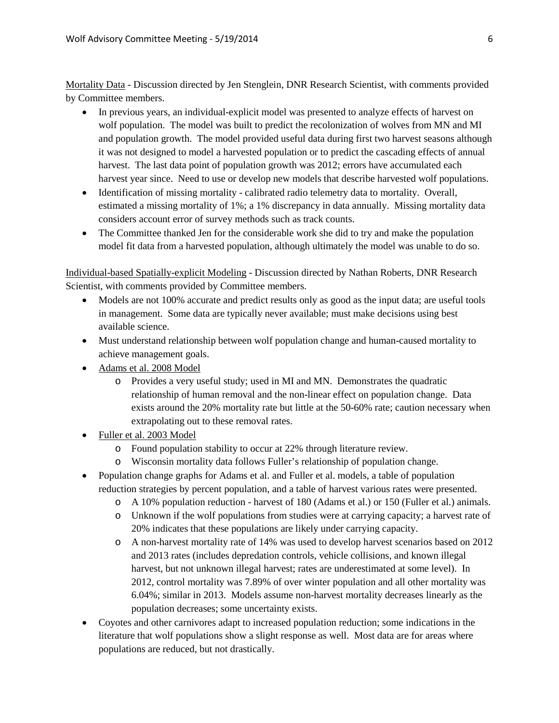Mortality Data - Discussion directed by Jen Stenglein, DNR Research Scientist, with comments provided by Committee members.

- In previous years, an individual-explicit model was presented to analyze effects of harvest on wolf population. The model was built to predict the recolonization of wolves from MN and MI and population growth. The model provided useful data during first two harvest seasons although it was not designed to model a harvested population or to predict the cascading effects of annual harvest. The last data point of population growth was 2012; errors have accumulated each harvest year since. Need to use or develop new models that describe harvested wolf populations.
- Identification of missing mortality calibrated radio telemetry data to mortality. Overall, estimated a missing mortality of 1%; a 1% discrepancy in data annually. Missing mortality data considers account error of survey methods such as track counts.
- The Committee thanked Jen for the considerable work she did to try and make the population model fit data from a harvested population, although ultimately the model was unable to do so.

Individual-based Spatially-explicit Modeling - Discussion directed by Nathan Roberts, DNR Research Scientist, with comments provided by Committee members.

- Models are not 100% accurate and predict results only as good as the input data; are useful tools in management. Some data are typically never available; must make decisions using best available science.
- Must understand relationship between wolf population change and human-caused mortality to achieve management goals.
- Adams et al. 2008 Model
	- o Provides a very useful study; used in MI and MN. Demonstrates the quadratic relationship of human removal and the non-linear effect on population change. Data exists around the 20% mortality rate but little at the 50-60% rate; caution necessary when extrapolating out to these removal rates.
- Fuller et al. 2003 Model
	- o Found population stability to occur at 22% through literature review.
	- o Wisconsin mortality data follows Fuller's relationship of population change.
- Population change graphs for Adams et al. and Fuller et al. models, a table of population reduction strategies by percent population, and a table of harvest various rates were presented.
	- o A 10% population reduction harvest of 180 (Adams et al.) or 150 (Fuller et al.) animals.
	- o Unknown if the wolf populations from studies were at carrying capacity; a harvest rate of 20% indicates that these populations are likely under carrying capacity.
	- o A non-harvest mortality rate of 14% was used to develop harvest scenarios based on 2012 and 2013 rates (includes depredation controls, vehicle collisions, and known illegal harvest, but not unknown illegal harvest; rates are underestimated at some level). In 2012, control mortality was 7.89% of over winter population and all other mortality was 6.04%; similar in 2013. Models assume non-harvest mortality decreases linearly as the population decreases; some uncertainty exists.
- Coyotes and other carnivores adapt to increased population reduction; some indications in the literature that wolf populations show a slight response as well. Most data are for areas where populations are reduced, but not drastically.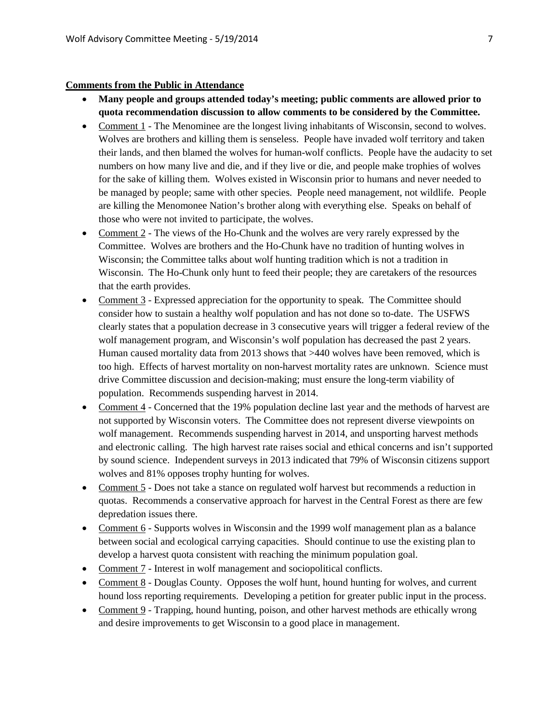### **Comments from the Public in Attendance**

- **Many people and groups attended today's meeting; public comments are allowed prior to quota recommendation discussion to allow comments to be considered by the Committee.**
- Comment 1 The Menominee are the longest living inhabitants of Wisconsin, second to wolves. Wolves are brothers and killing them is senseless. People have invaded wolf territory and taken their lands, and then blamed the wolves for human-wolf conflicts. People have the audacity to set numbers on how many live and die, and if they live or die, and people make trophies of wolves for the sake of killing them. Wolves existed in Wisconsin prior to humans and never needed to be managed by people; same with other species. People need management, not wildlife. People are killing the Menomonee Nation's brother along with everything else. Speaks on behalf of those who were not invited to participate, the wolves.
- Comment 2 The views of the Ho-Chunk and the wolves are very rarely expressed by the Committee. Wolves are brothers and the Ho-Chunk have no tradition of hunting wolves in Wisconsin; the Committee talks about wolf hunting tradition which is not a tradition in Wisconsin. The Ho-Chunk only hunt to feed their people; they are caretakers of the resources that the earth provides.
- Comment 3 Expressed appreciation for the opportunity to speak. The Committee should consider how to sustain a healthy wolf population and has not done so to-date. The USFWS clearly states that a population decrease in 3 consecutive years will trigger a federal review of the wolf management program, and Wisconsin's wolf population has decreased the past 2 years. Human caused mortality data from 2013 shows that >440 wolves have been removed, which is too high. Effects of harvest mortality on non-harvest mortality rates are unknown. Science must drive Committee discussion and decision-making; must ensure the long-term viability of population. Recommends suspending harvest in 2014.
- Comment 4 Concerned that the 19% population decline last year and the methods of harvest are not supported by Wisconsin voters. The Committee does not represent diverse viewpoints on wolf management. Recommends suspending harvest in 2014, and unsporting harvest methods and electronic calling. The high harvest rate raises social and ethical concerns and isn't supported by sound science. Independent surveys in 2013 indicated that 79% of Wisconsin citizens support wolves and 81% opposes trophy hunting for wolves.
- Comment 5 Does not take a stance on regulated wolf harvest but recommends a reduction in quotas. Recommends a conservative approach for harvest in the Central Forest as there are few depredation issues there.
- Comment 6 Supports wolves in Wisconsin and the 1999 wolf management plan as a balance between social and ecological carrying capacities. Should continue to use the existing plan to develop a harvest quota consistent with reaching the minimum population goal.
- Comment 7 Interest in wolf management and sociopolitical conflicts.
- Comment 8 Douglas County. Opposes the wolf hunt, hound hunting for wolves, and current hound loss reporting requirements. Developing a petition for greater public input in the process.
- Comment 9 Trapping, hound hunting, poison, and other harvest methods are ethically wrong and desire improvements to get Wisconsin to a good place in management.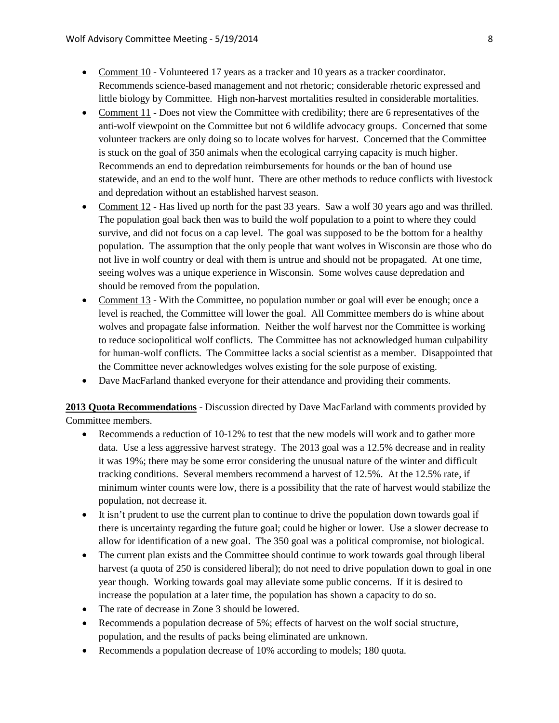- Comment 10 Volunteered 17 years as a tracker and 10 years as a tracker coordinator. Recommends science-based management and not rhetoric; considerable rhetoric expressed and little biology by Committee. High non-harvest mortalities resulted in considerable mortalities.
- Comment 11 Does not view the Committee with credibility; there are 6 representatives of the anti-wolf viewpoint on the Committee but not 6 wildlife advocacy groups. Concerned that some volunteer trackers are only doing so to locate wolves for harvest. Concerned that the Committee is stuck on the goal of 350 animals when the ecological carrying capacity is much higher. Recommends an end to depredation reimbursements for hounds or the ban of hound use statewide, and an end to the wolf hunt. There are other methods to reduce conflicts with livestock and depredation without an established harvest season.
- Comment 12 Has lived up north for the past 33 years. Saw a wolf 30 years ago and was thrilled. The population goal back then was to build the wolf population to a point to where they could survive, and did not focus on a cap level. The goal was supposed to be the bottom for a healthy population. The assumption that the only people that want wolves in Wisconsin are those who do not live in wolf country or deal with them is untrue and should not be propagated. At one time, seeing wolves was a unique experience in Wisconsin. Some wolves cause depredation and should be removed from the population.
- Comment 13 With the Committee, no population number or goal will ever be enough; once a level is reached, the Committee will lower the goal. All Committee members do is whine about wolves and propagate false information. Neither the wolf harvest nor the Committee is working to reduce sociopolitical wolf conflicts. The Committee has not acknowledged human culpability for human-wolf conflicts. The Committee lacks a social scientist as a member. Disappointed that the Committee never acknowledges wolves existing for the sole purpose of existing.
- Dave MacFarland thanked everyone for their attendance and providing their comments.

**2013 Quota Recommendations** - Discussion directed by Dave MacFarland with comments provided by Committee members.

- Recommends a reduction of 10-12% to test that the new models will work and to gather more data. Use a less aggressive harvest strategy. The 2013 goal was a 12.5% decrease and in reality it was 19%; there may be some error considering the unusual nature of the winter and difficult tracking conditions. Several members recommend a harvest of 12.5%. At the 12.5% rate, if minimum winter counts were low, there is a possibility that the rate of harvest would stabilize the population, not decrease it.
- It isn't prudent to use the current plan to continue to drive the population down towards goal if there is uncertainty regarding the future goal; could be higher or lower. Use a slower decrease to allow for identification of a new goal. The 350 goal was a political compromise, not biological.
- The current plan exists and the Committee should continue to work towards goal through liberal harvest (a quota of 250 is considered liberal); do not need to drive population down to goal in one year though. Working towards goal may alleviate some public concerns. If it is desired to increase the population at a later time, the population has shown a capacity to do so.
- The rate of decrease in Zone 3 should be lowered.
- Recommends a population decrease of 5%; effects of harvest on the wolf social structure, population, and the results of packs being eliminated are unknown.
- Recommends a population decrease of 10% according to models; 180 quota.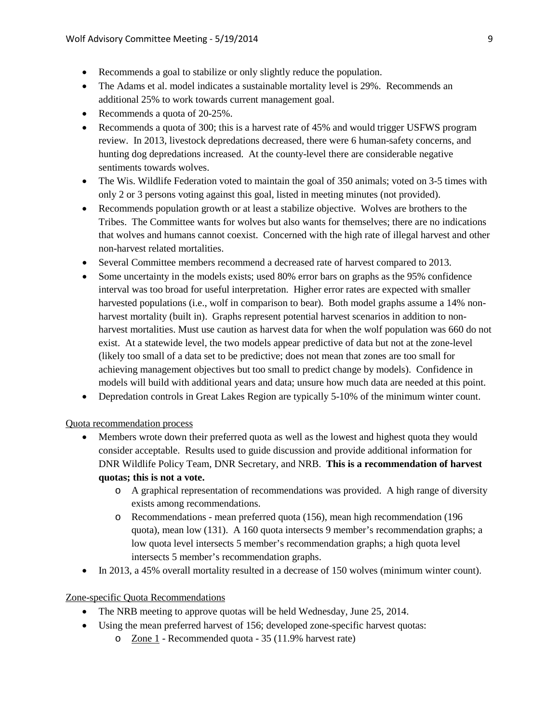- Recommends a goal to stabilize or only slightly reduce the population.
- The Adams et al. model indicates a sustainable mortality level is 29%. Recommends an additional 25% to work towards current management goal.
- Recommends a quota of 20-25%.
- Recommends a quota of 300; this is a harvest rate of 45% and would trigger USFWS program review. In 2013, livestock depredations decreased, there were 6 human-safety concerns, and hunting dog depredations increased. At the county-level there are considerable negative sentiments towards wolves.
- The Wis. Wildlife Federation voted to maintain the goal of 350 animals; voted on 3-5 times with only 2 or 3 persons voting against this goal, listed in meeting minutes (not provided).
- Recommends population growth or at least a stabilize objective. Wolves are brothers to the Tribes. The Committee wants for wolves but also wants for themselves; there are no indications that wolves and humans cannot coexist. Concerned with the high rate of illegal harvest and other non-harvest related mortalities.
- Several Committee members recommend a decreased rate of harvest compared to 2013.
- Some uncertainty in the models exists; used 80% error bars on graphs as the 95% confidence interval was too broad for useful interpretation. Higher error rates are expected with smaller harvested populations (i.e., wolf in comparison to bear). Both model graphs assume a 14% nonharvest mortality (built in). Graphs represent potential harvest scenarios in addition to nonharvest mortalities. Must use caution as harvest data for when the wolf population was 660 do not exist. At a statewide level, the two models appear predictive of data but not at the zone-level (likely too small of a data set to be predictive; does not mean that zones are too small for achieving management objectives but too small to predict change by models). Confidence in models will build with additional years and data; unsure how much data are needed at this point.
- Depredation controls in Great Lakes Region are typically 5-10% of the minimum winter count.

#### Quota recommendation process

- Members wrote down their preferred quota as well as the lowest and highest quota they would consider acceptable. Results used to guide discussion and provide additional information for DNR Wildlife Policy Team, DNR Secretary, and NRB. **This is a recommendation of harvest quotas; this is not a vote.**
	- o A graphical representation of recommendations was provided. A high range of diversity exists among recommendations.
	- o Recommendations mean preferred quota (156), mean high recommendation (196 quota), mean low (131). A 160 quota intersects 9 member's recommendation graphs; a low quota level intersects 5 member's recommendation graphs; a high quota level intersects 5 member's recommendation graphs.
- In 2013, a 45% overall mortality resulted in a decrease of 150 wolves (minimum winter count).

#### Zone-specific Quota Recommendations

- The NRB meeting to approve quotas will be held Wednesday, June 25, 2014.
- Using the mean preferred harvest of 156; developed zone-specific harvest quotas:
	- o Zone 1 Recommended quota 35 (11.9% harvest rate)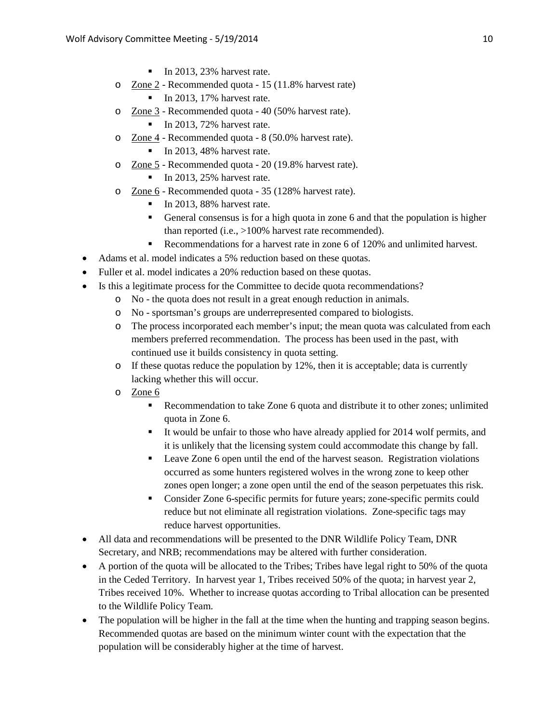- $\blacksquare$  In 2013, 23% harvest rate.
- o Zone 2 Recommended quota 15 (11.8% harvest rate)
	- $\blacksquare$  In 2013, 17% harvest rate.
- o Zone 3 Recommended quota 40 (50% harvest rate).
	- $\blacksquare$  In 2013, 72% harvest rate.
- o Zone 4 Recommended quota 8 (50.0% harvest rate).
	- $\blacksquare$  In 2013, 48% harvest rate.
- o Zone 5 Recommended quota 20 (19.8% harvest rate).
	- $\blacksquare$  In 2013, 25% harvest rate.
- o Zone 6 Recommended quota 35 (128% harvest rate).
	- $\blacksquare$  In 2013, 88% harvest rate.
	- General consensus is for a high quota in zone 6 and that the population is higher than reported (i.e., >100% harvest rate recommended).
	- Recommendations for a harvest rate in zone 6 of 120% and unlimited harvest.
- Adams et al. model indicates a 5% reduction based on these quotas.
- Fuller et al. model indicates a 20% reduction based on these quotas.
- Is this a legitimate process for the Committee to decide quota recommendations?
	- o No the quota does not result in a great enough reduction in animals.
	- o No sportsman's groups are underrepresented compared to biologists.
	- o The process incorporated each member's input; the mean quota was calculated from each members preferred recommendation. The process has been used in the past, with continued use it builds consistency in quota setting.
	- $\circ$  If these quotas reduce the population by 12%, then it is acceptable; data is currently lacking whether this will occur.
	- o Zone 6
		- Recommendation to take Zone 6 quota and distribute it to other zones; unlimited quota in Zone 6.
		- It would be unfair to those who have already applied for 2014 wolf permits, and it is unlikely that the licensing system could accommodate this change by fall.
		- Leave Zone 6 open until the end of the harvest season. Registration violations occurred as some hunters registered wolves in the wrong zone to keep other zones open longer; a zone open until the end of the season perpetuates this risk.
		- Consider Zone 6-specific permits for future years; zone-specific permits could reduce but not eliminate all registration violations. Zone-specific tags may reduce harvest opportunities.
- All data and recommendations will be presented to the DNR Wildlife Policy Team, DNR Secretary, and NRB; recommendations may be altered with further consideration.
- A portion of the quota will be allocated to the Tribes; Tribes have legal right to 50% of the quota in the Ceded Territory. In harvest year 1, Tribes received 50% of the quota; in harvest year 2, Tribes received 10%. Whether to increase quotas according to Tribal allocation can be presented to the Wildlife Policy Team.
- The population will be higher in the fall at the time when the hunting and trapping season begins. Recommended quotas are based on the minimum winter count with the expectation that the population will be considerably higher at the time of harvest.